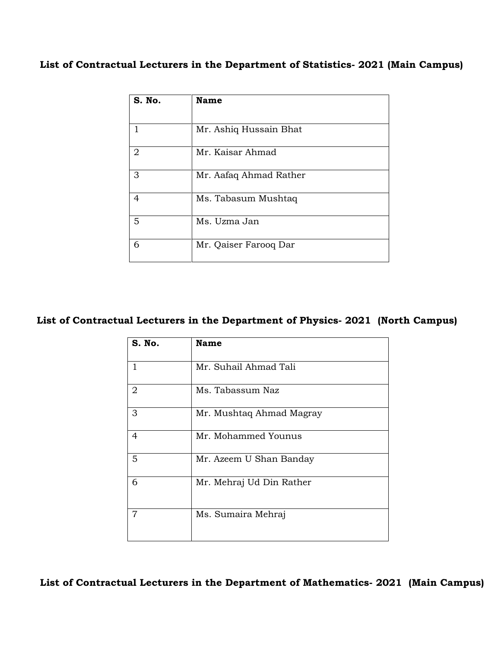## **List of Contractual Lecturers in the Department of Statistics- 2021 (Main Campus)**

| S. No. | <b>Name</b>            |
|--------|------------------------|
|        | Mr. Ashiq Hussain Bhat |
| 2      | Mr. Kaisar Ahmad       |
| 3      | Mr. Aafaq Ahmad Rather |
| 4      | Ms. Tabasum Mushtaq    |
| 5      | Ms. Uzma Jan           |
| 6      | Mr. Qaiser Farooq Dar  |

## **List of Contractual Lecturers in the Department of Physics- 2021 (North Campus)**

| S. No.         | <b>Name</b>              |
|----------------|--------------------------|
| $\mathbf{1}$   | Mr. Suhail Ahmad Tali    |
| 2              | Ms. Tabassum Naz         |
| 3              | Mr. Mushtaq Ahmad Magray |
| $\overline{4}$ | Mr. Mohammed Younus      |
| 5              | Mr. Azeem U Shan Banday  |
| 6              | Mr. Mehraj Ud Din Rather |
| 7              | Ms. Sumaira Mehraj       |

 **List of Contractual Lecturers in the Department of Mathematics- 2021 (Main Campus)**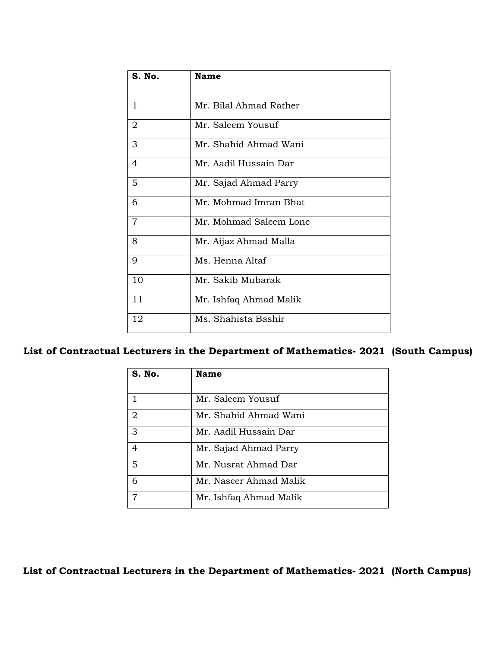| <b>S. No.</b>  | <b>Name</b>            |
|----------------|------------------------|
| $\mathbf{1}$   | Mr. Bilal Ahmad Rather |
|                |                        |
| $\overline{2}$ | Mr. Saleem Yousuf      |
| 3              | Mr. Shahid Ahmad Wani  |
| 4              | Mr. Aadil Hussain Dar  |
| 5              | Mr. Sajad Ahmad Parry  |
| 6              | Mr. Mohmad Imran Bhat  |
| 7              | Mr. Mohmad Saleem Lone |
| 8              | Mr. Aijaz Ahmad Malla  |
| 9              | Ms. Henna Altaf        |
| 10             | Mr. Sakib Mubarak      |
| 11             | Mr. Ishfaq Ahmad Malik |
| 12             | Ms. Shahista Bashir    |

## **List of Contractual Lecturers in the Department of Mathematics- 2021 (South Campus)**

| S. No.         | <b>Name</b>            |
|----------------|------------------------|
| 1              | Mr. Saleem Yousuf      |
| $\overline{2}$ | Mr. Shahid Ahmad Wani  |
| 3              | Mr. Aadil Hussain Dar  |
| $\overline{4}$ | Mr. Sajad Ahmad Parry  |
| 5              | Mr. Nusrat Ahmad Dar   |
| 6              | Mr. Naseer Ahmad Malik |
|                | Mr. Ishfaq Ahmad Malik |

**List of Contractual Lecturers in the Department of Mathematics- 2021 (North Campus)**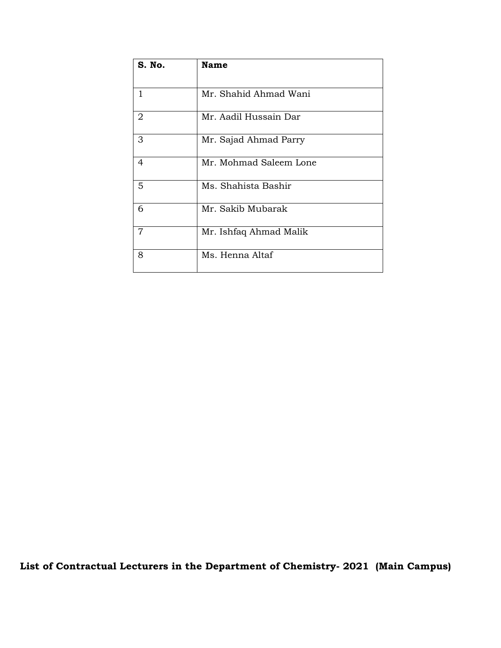| S. No.         | <b>Name</b>            |
|----------------|------------------------|
|                |                        |
| 1              | Mr. Shahid Ahmad Wani  |
| $\overline{2}$ | Mr. Aadil Hussain Dar  |
| 3              | Mr. Sajad Ahmad Parry  |
| $\overline{4}$ | Mr. Mohmad Saleem Lone |
| 5              | Ms. Shahista Bashir    |
| 6              | Mr. Sakib Mubarak      |
| $\overline{7}$ | Mr. Ishfaq Ahmad Malik |
| 8              | Ms. Henna Altaf        |

 **List of Contractual Lecturers in the Department of Chemistry- 2021 (Main Campus)**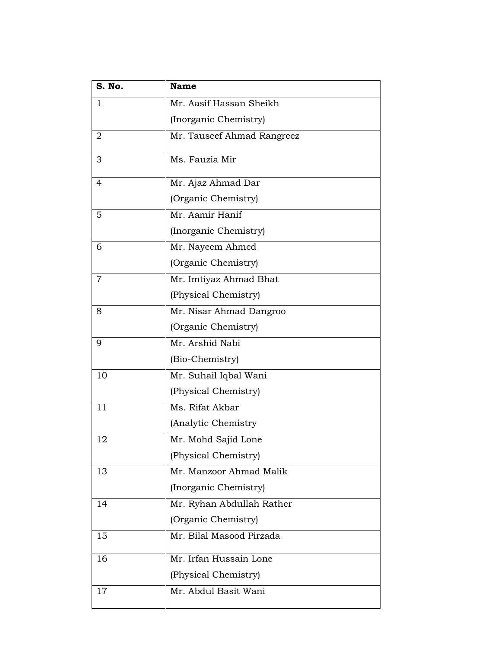| S. No. | <b>Name</b>                |
|--------|----------------------------|
| 1      | Mr. Aasif Hassan Sheikh    |
|        | (Inorganic Chemistry)      |
| 2      | Mr. Tauseef Ahmad Rangreez |
| 3      | Ms. Fauzia Mir             |
| 4      | Mr. Ajaz Ahmad Dar         |
|        | (Organic Chemistry)        |
| 5      | Mr. Aamir Hanif            |
|        | (Inorganic Chemistry)      |
| 6      | Mr. Nayeem Ahmed           |
|        | (Organic Chemistry)        |
| 7      | Mr. Imtiyaz Ahmad Bhat     |
|        | (Physical Chemistry)       |
| 8      | Mr. Nisar Ahmad Dangroo    |
|        | (Organic Chemistry)        |
| 9      | Mr. Arshid Nabi            |
|        | (Bio-Chemistry)            |
| 10     | Mr. Suhail Iqbal Wani      |
|        | (Physical Chemistry)       |
| 11     | Ms. Rifat Akbar            |
|        | (Analytic Chemistry        |
| 12     | Mr. Mohd Sajid Lone        |
|        | (Physical Chemistry)       |
| 13     | Mr. Manzoor Ahmad Malik    |
|        | (Inorganic Chemistry)      |
| 14     | Mr. Ryhan Abdullah Rather  |
|        | (Organic Chemistry)        |
| 15     | Mr. Bilal Masood Pirzada   |
| 16     | Mr. Irfan Hussain Lone     |
|        | (Physical Chemistry)       |
| 17     | Mr. Abdul Basit Wani       |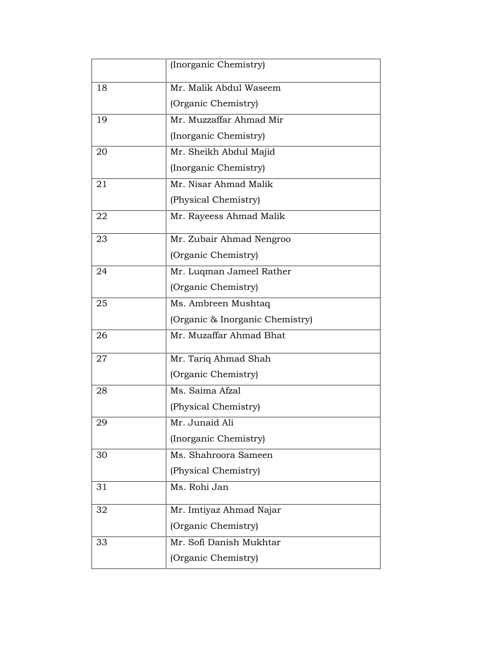|    | (Inorganic Chemistry)               |
|----|-------------------------------------|
| 18 | Mr. Malik Abdul Waseem              |
|    | (Organic Chemistry)                 |
| 19 | Mr. Muzzaffar Ahmad Mir             |
|    | (Inorganic Chemistry)               |
| 20 | Mr. Sheikh Abdul Majid              |
|    | (Inorganic Chemistry)               |
| 21 | Mr. Nisar Ahmad Malik               |
|    | (Physical Chemistry)                |
| 22 | Mr. Rayeess Ahmad Malik             |
| 23 | Mr. Zubair Ahmad Nengroo            |
|    | (Organic Chemistry)                 |
| 24 | Mr. Luqman Jameel Rather            |
|    | (Organic Chemistry)                 |
| 25 | Ms. Ambreen Mushtaq                 |
|    | (Organic & Inorganic Chemistry)     |
| 26 | Mr. Muzaffar Ahmad Bhat             |
| 27 | Mr. Tariq Ahmad Shah                |
|    | (Organic Chemistry)                 |
| 28 | Ms. Saima Afzal                     |
|    | (Physical Chemistry)                |
| 29 | Mr. Junaid Ali                      |
|    | (Inorganic Chemistry)               |
| 30 | Ms. Shahroora Sameen                |
|    | (Physical Chemistry)                |
| 31 | $\overline{\mathrm{M}}$ s. Rohi Jan |
| 32 | Mr. Imtiyaz Ahmad Najar             |
|    | (Organic Chemistry)                 |
| 33 | Mr. Sofi Danish Mukhtar             |
|    | (Organic Chemistry)                 |